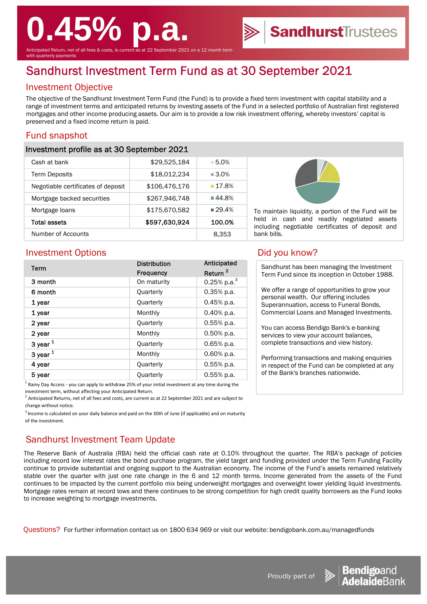# **0.45% p.a.**

Anticipated Return, net of all fees & costs, is current as at 22 September 2021 on a 12 month term ith quarterly payments

## Sandhurst Investment Term Fund as at 30 September 2021

#### Investment Objective

The objective of the Sandhurst Investment Term Fund (the Fund) is to provide a fixed term investment with capital stability and a range of investment terms and anticipated returns by investing assets of the Fund in a selected portfolio of Australian first registered mortgages and other income producing assets. Our aim is to provide a low risk investment offering, whereby investors' capital is preserved and a fixed income return is paid.

#### Fund snapshot

#### Investment profile as at 30 September 2021

| Cash at bank                       | \$29,525,184  | $-5.0\%$            |
|------------------------------------|---------------|---------------------|
| <b>Term Deposits</b>               | \$18,012,234  | $\blacksquare$ 3.0% |
| Negotiable certificates of deposit | \$106,476,176 | $-17.8%$            |
| Mortgage backed securities         | \$267,946,748 | ■44.8%              |
| Mortgage loans                     | \$175,670,582 | 29.4%               |
| <b>Total assets</b>                | \$597,630,924 | 100.0%              |
| Number of Accounts                 |               | 8,353               |



To maintain liquidity, a portion of the Fund will be held in cash and readily negotiated assets including negotiable certificates of deposit and bank bills.

SandhurstTrustees

#### Investment Options **Did** you know?

| Term       | <b>Distribution</b> | Anticipated         |
|------------|---------------------|---------------------|
|            | Frequency           | Return <sup>2</sup> |
| 3 month    | On maturity         | 0.25% p.a. $3$      |
| 6 month    | Quarterly           | $0.35%$ p.a.        |
| 1 year     | <b>Quarterly</b>    | $0.45%$ p.a.        |
| 1 year     | Monthly             | 0.40% p.a.          |
| 2 year     | Quarterly           | $0.55%$ p.a.        |
| 2 year     | Monthly             | $0.50\%$ p.a.       |
| 3 year $1$ | Quarterly           | $0.65%$ p.a.        |
| 3 year $1$ | Monthly             | $0.60\%$ p.a.       |
| 4 year     | Quarterly           | $0.55%$ p.a.        |
| 5 year     | Quarterly           | $0.55%$ p.a.        |

<sup>1</sup> Rainy Day Access - you can apply to withdraw 25% of your initial investment at any time during the investment term, without affecting your Anticipated Return.

 $^2$  Anticipated Returns, net of all fees and costs, are current as at 22 September 2021 and are subject to change without notice.

<sup>3</sup> Income is calculated on your daily balance and paid on the 30th of June (if applicable) and on maturity of the investment.

### Sandhurst Investment Team Update

The Reserve Bank of Australia (RBA) held the official cash rate at 0.10% throughout the quarter. The RBA's package of policies including record low interest rates the bond purchase program, the yield target and funding provided under the Term Funding Facility continue to provide substantial and ongoing support to the Australian economy. The income of the Fund's assets remained relatively stable over the quarter with just one rate change in the 6 and 12 month terms. Income generated from the assets of the Fund continues to be impacted by the current portfolio mix being underweight mortgages and overweight lower yielding liquid investments. Mortgage rates remain at record lows and there continues to be strong competition for high credit quality borrowers as the Fund looks to increase weighting to mortgage investments.

Questions? For further information contact us on 1800 634 969 or visit our website: bendigobank.com.au/managedfunds

Sandhurst has been managing the Investment Term Fund since its inception in October 1988.

We offer a range of opportunities to grow your personal wealth. Our offering includes Superannuation, access to Funeral Bonds, Commercial Loans and Managed Investments.

You can access Bendigo Bank's e-banking services to view your account balances, complete transactions and view history.

Performing transactions and making enquiries in respect of the Fund can be completed at any of the Bank's branches nationwide.